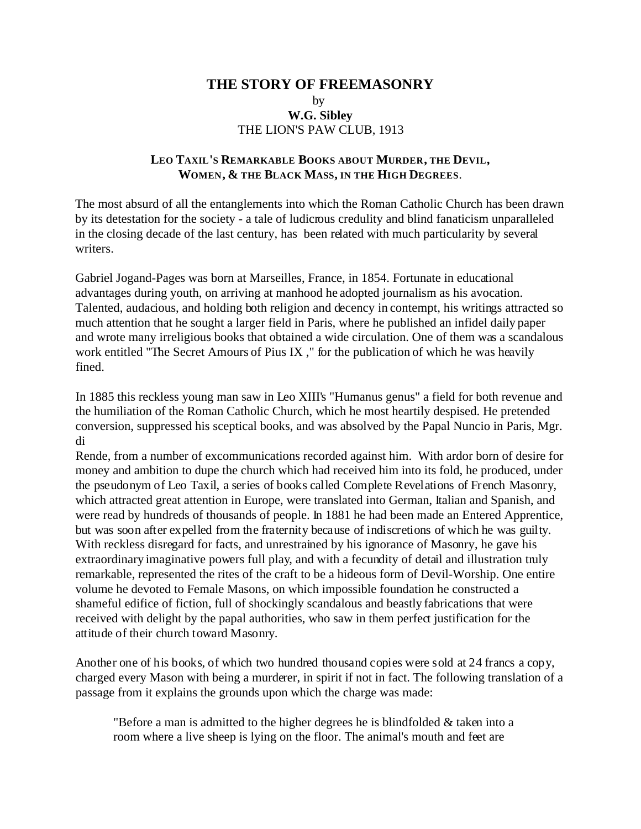## **THE STORY OF FREEMASONRY** by **W.G. Sibley** THE LION'S PAW CLUB, 1913

## **LEO TAXIL'S REMARKABLE BOOKS ABOUT MURDER, THE DEVIL, WOMEN, & THE BLACK MASS, IN THE HIGH DEGREES**.

The most absurd of all the entanglements into which the Roman Catholic Church has been drawn by its detestation for the society - a tale of ludicrous credulity and blind fanaticism unparalleled in the closing decade of the last century, has been related with much particularity by several writers.

Gabriel Jogand-Pages was born at Marseilles, France, in 1854. Fortunate in educational advantages during youth, on arriving at manhood he adopted journalism as his avocation. Talented, audacious, and holding both religion and decency in contempt, his writings attracted so much attention that he sought a larger field in Paris, where he published an infidel daily paper and wrote many irreligious books that obtained a wide circulation. One of them was a scandalous work entitled "The Secret Amours of Pius IX ," for the publication of which he was heavily fined.

In 1885 this reckless young man saw in Leo XIII's "Humanus genus" a field for both revenue and the humiliation of the Roman Catholic Church, which he most heartily despised. He pretended conversion, suppressed his sceptical books, and was absolved by the Papal Nuncio in Paris, Mgr. di

Rende, from a number of excommunications recorded against him. With ardor born of desire for money and ambition to dupe the church which had received him into its fold, he produced, under the pseudonym of Leo Taxil, a series of books called Complete Revelations of French Masonry, which attracted great attention in Europe, were translated into German, Italian and Spanish, and were read by hundreds of thousands of people. In 1881 he had been made an Entered Apprentice, but was soon after expelled from the fraternity because of indiscretions of which he was guilty. With reckless disregard for facts, and unrestrained by his ignorance of Masonry, he gave his extraordinary imaginative powers full play, and with a fecundity of detail and illustration truly remarkable, represented the rites of the craft to be a hideous form of Devil-Worship. One entire volume he devoted to Female Masons, on which impossible foundation he constructed a shameful edifice of fiction, full of shockingly scandalous and beastly fabrications that were received with delight by the papal authorities, who saw in them perfect justification for the attitude of their church toward Masonry.

Another one of his books, of which two hundred thousand copies were sold at 24 francs a copy, charged every Mason with being a murderer, in spirit if not in fact. The following translation of a passage from it explains the grounds upon which the charge was made:

"Before a man is admitted to the higher degrees he is blindfolded & taken into a room where a live sheep is lying on the floor. The animal's mouth and feet are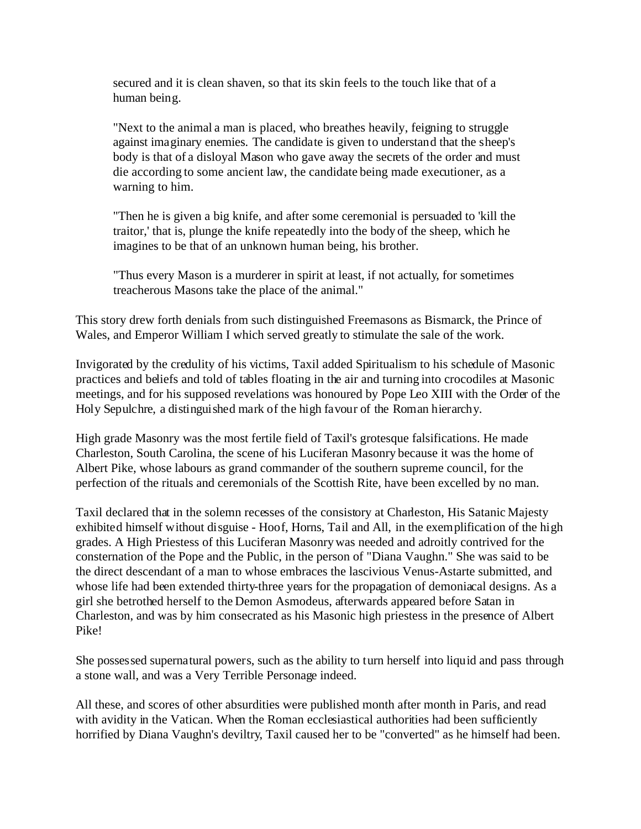secured and it is clean shaven, so that its skin feels to the touch like that of a human being.

"Next to the animal a man is placed, who breathes heavily, feigning to struggle against imaginary enemies. The candidate is given to understand that the sheep's body is that of a disloyal Mason who gave away the secrets of the order and must die according to some ancient law, the candidate being made executioner, as a warning to him.

"Then he is given a big knife, and after some ceremonial is persuaded to 'kill the traitor,' that is, plunge the knife repeatedly into the body of the sheep, which he imagines to be that of an unknown human being, his brother.

"Thus every Mason is a murderer in spirit at least, if not actually, for sometimes treacherous Masons take the place of the animal."

This story drew forth denials from such distinguished Freemasons as Bismarck, the Prince of Wales, and Emperor William I which served greatly to stimulate the sale of the work.

Invigorated by the credulity of his victims, Taxil added Spiritualism to his schedule of Masonic practices and beliefs and told of tables floating in the air and turning into crocodiles at Masonic meetings, and for his supposed revelations was honoured by Pope Leo XIII with the Order of the Holy Sepulchre, a distinguished mark of the high favour of the Roman hierarchy.

High grade Masonry was the most fertile field of Taxil's grotesque falsifications. He made Charleston, South Carolina, the scene of his Luciferan Masonry because it was the home of Albert Pike, whose labours as grand commander of the southern supreme council, for the perfection of the rituals and ceremonials of the Scottish Rite, have been excelled by no man.

Taxil declared that in the solemn recesses of the consistory at Charleston, His Satanic Majesty exhibited himself without disguise - Hoof, Horns, Tail and All, in the exemplification of the high grades. A High Priestess of this Luciferan Masonry was needed and adroitly contrived for the consternation of the Pope and the Public, in the person of "Diana Vaughn." She was said to be the direct descendant of a man to whose embraces the lascivious Venus-Astarte submitted, and whose life had been extended thirty-three years for the propagation of demoniacal designs. As a girl she betrothed herself to the Demon Asmodeus, afterwards appeared before Satan in Charleston, and was by him consecrated as his Masonic high priestess in the presence of Albert Pike!

She possessed supernatural powers, such as the ability to turn herself into liquid and pass through a stone wall, and was a Very Terrible Personage indeed.

All these, and scores of other absurdities were published month after month in Paris, and read with avidity in the Vatican. When the Roman ecclesiastical authorities had been sufficiently horrified by Diana Vaughn's deviltry, Taxil caused her to be "converted" as he himself had been.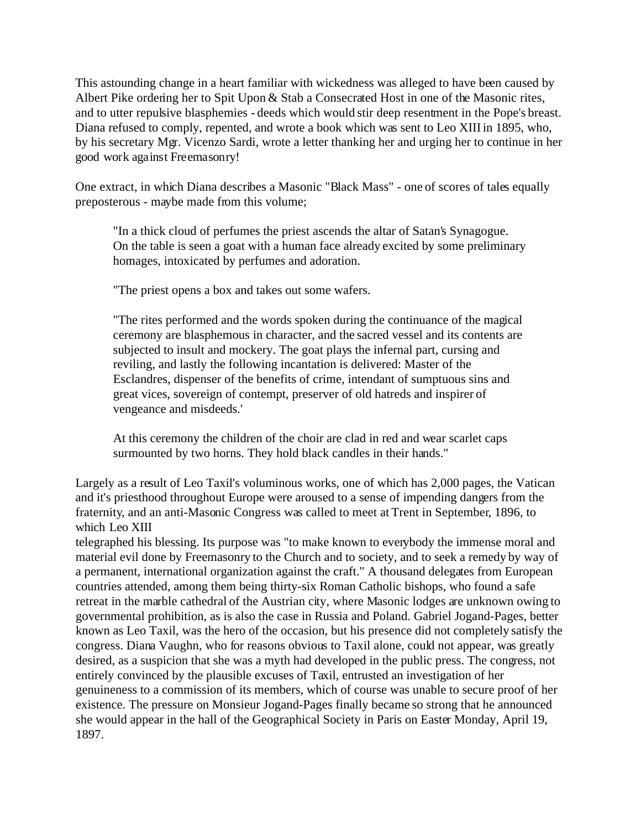This astounding change in a heart familiar with wickedness was alleged to have been caused by Albert Pike ordering her to Spit Upon & Stab a Consecrated Host in one of the Masonic rites, and to utter repulsive blasphemies - deeds which would stir deep resentment in the Pope's breast. Diana refused to comply, repented, and wrote a book which was sent to Leo XIII in 1895, who, by his secretary Mgr. Vicenzo Sardi, wrote a letter thanking her and urging her to continue in her good work against Freemasonry!

One extract, in which Diana describes a Masonic "Black Mass" - one of scores of tales equally preposterous - maybe made from this volume;

"In a thick cloud of perfumes the priest ascends the altar of Satan's Synagogue. On the table is seen a goat with a human face already excited by some preliminary homages, intoxicated by perfumes and adoration.

"The priest opens a box and takes out some wafers.

"The rites performed and the words spoken during the continuance of the magical ceremony are blasphemous in character, and the sacred vessel and its contents are subjected to insult and mockery. The goat plays the infernal part, cursing and reviling, and lastly the following incantation is delivered: Master of the Esclandres, dispenser of the benefits of crime, intendant of sumptuous sins and great vices, sovereign of contempt, preserver of old hatreds and inspirer of vengeance and misdeeds.'

At this ceremony the children of the choir are clad in red and wear scarlet caps surmounted by two horns. They hold black candles in their hands."

Largely as a result of Leo Taxil's voluminous works, one of which has 2,000 pages, the Vatican and it's priesthood throughout Europe were aroused to a sense of impending dangers from the fraternity, and an anti-Masonic Congress was called to meet at Trent in September, 1896, to which Leo XIII

telegraphed his blessing. Its purpose was "to make known to everybody the immense moral and material evil done by Freemasonry to the Church and to society, and to seek a remedy by way of a permanent, international organization against the craft." A thousand delegates from European countries attended, among them being thirty-six Roman Catholic bishops, who found a safe retreat in the marble cathedral of the Austrian city, where Masonic lodges are unknown owing to governmental prohibition, as is also the case in Russia and Poland. Gabriel Jogand-Pages, better known as Leo Taxil, was the hero of the occasion, but his presence did not completely satisfy the congress. Diana Vaughn, who for reasons obvious to Taxil alone, could not appear, was greatly desired, as a suspicion that she was a myth had developed in the public press. The congress, not entirely convinced by the plausible excuses of Taxil, entrusted an investigation of her genuineness to a commission of its members, which of course was unable to secure proof of her existence. The pressure on Monsieur Jogand-Pages finally became so strong that he announced she would appear in the hall of the Geographical Society in Paris on Easter Monday, April 19, 1897.